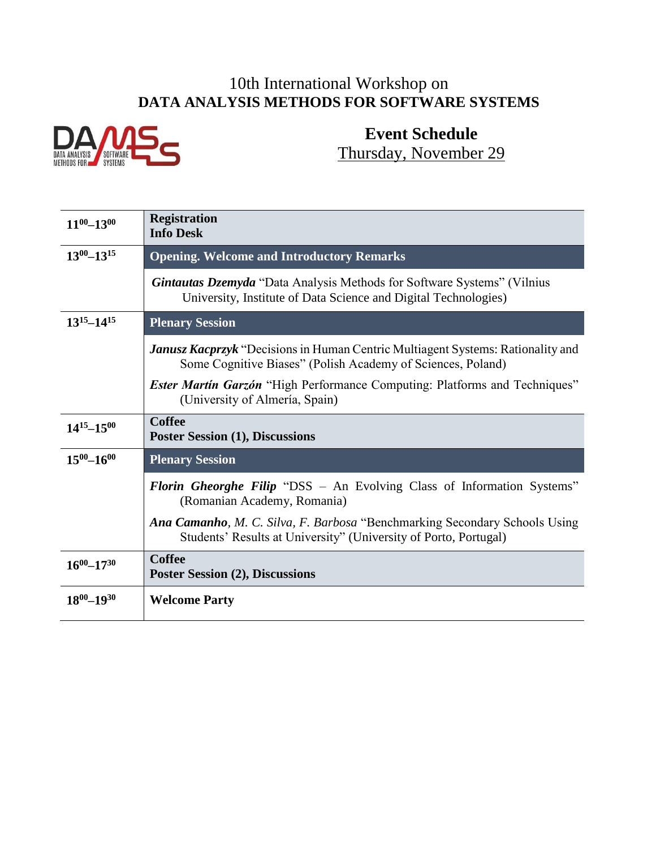### 10th International Workshop on **DATA ANALYSIS METHODS FOR SOFTWARE SYSTEMS**



# **Event Schedule** Thursday, November 29

| $11^{00} - 13^{00}$ | <b>Registration</b><br><b>Info Desk</b>                                                                                                               |
|---------------------|-------------------------------------------------------------------------------------------------------------------------------------------------------|
| $13^{00} - 13^{15}$ | <b>Opening. Welcome and Introductory Remarks</b>                                                                                                      |
|                     | <b>Gintautas Dzemyda</b> "Data Analysis Methods for Software Systems" (Vilnius<br>University, Institute of Data Science and Digital Technologies)     |
| $13^{15} - 14^{15}$ | <b>Plenary Session</b>                                                                                                                                |
|                     | <b>Janusz Kacprzyk</b> "Decisions in Human Centric Multiagent Systems: Rationality and<br>Some Cognitive Biases" (Polish Academy of Sciences, Poland) |
|                     | <b>Ester Martin Garzón</b> "High Performance Computing: Platforms and Techniques"<br>(University of Almería, Spain)                                   |
| $14^{15} - 15^{00}$ | <b>Coffee</b><br><b>Poster Session (1), Discussions</b>                                                                                               |
| $15^{00} - 16^{00}$ | <b>Plenary Session</b>                                                                                                                                |
|                     | <b>Florin Gheorghe Filip "DSS</b> – An Evolving Class of Information Systems"<br>(Romanian Academy, Romania)                                          |
|                     | Ana Camanho, M. C. Silva, F. Barbosa "Benchmarking Secondary Schools Using<br>Students' Results at University" (University of Porto, Portugal)        |
| $16^{00} - 17^{30}$ | <b>Coffee</b><br><b>Poster Session (2), Discussions</b>                                                                                               |
| $18^{00} - 19^{30}$ | <b>Welcome Party</b>                                                                                                                                  |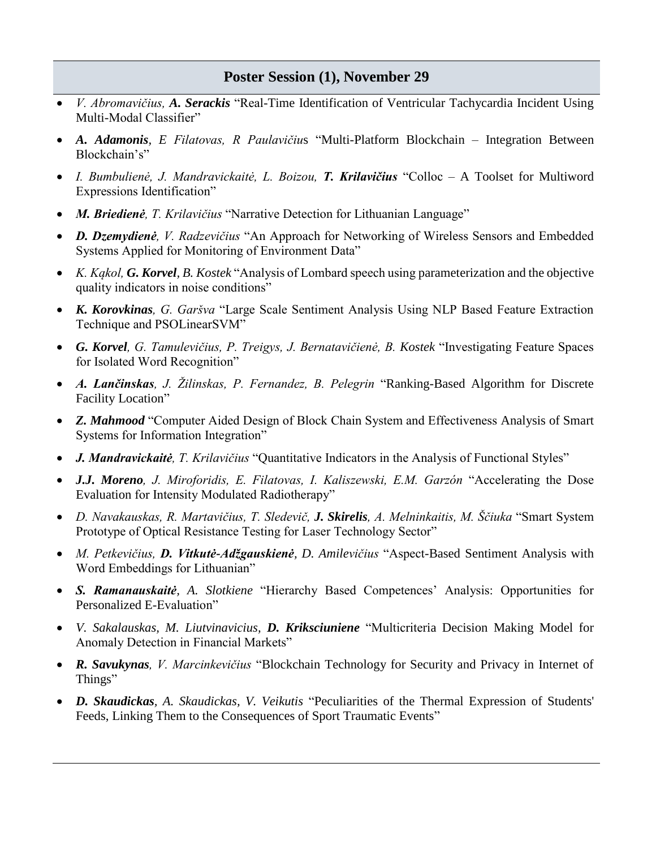#### **Poster Session (1), November 29**

- *V. Abromavičius, A. Serackis* "Real-Time Identification of Ventricular Tachycardia Incident Using Multi-Modal Classifier"
- *A. Adamonis, E Filatovas, R Paulavičiu*s "Multi-Platform Blockchain Integration Between Blockchain's"
- *I. Bumbulienė, J. Mandravickaitė, L. Boizou, T. Krilavičius* "Colloc A Toolset for Multiword Expressions Identification"
- *M. Briedienė, T. Krilavičius* "Narrative Detection for Lithuanian Language"
- *D. Dzemydienė, V. Radzevičius* "An Approach for Networking of Wireless Sensors and Embedded Systems Applied for Monitoring of Environment Data"
- *K. Kąkol, G. Korvel, B. Kostek* "Analysis of Lombard speech using parameterization and the objective quality indicators in noise conditions"
- *K. Korovkinas, G. Garšva* "Large Scale Sentiment Analysis Using NLP Based Feature Extraction Technique and PSOLinearSVM"
- *G. Korvel, G. Tamulevičius, P. Treigys, J. Bernatavičienė, B. Kostek* "Investigating Feature Spaces for Isolated Word Recognition"
- *A. Lančinskas, J. Žilinskas, P. Fernandez, B. Pelegrin* "Ranking-Based Algorithm for Discrete Facility Location"
- *Z. Mahmood* "Computer Aided Design of Block Chain System and Effectiveness Analysis of Smart Systems for Information Integration"
- *J. Mandravickaitė, T. Krilavičius* "Quantitative Indicators in the Analysis of Functional Styles"
- *J.J. Moreno, J. Miroforidis, E. Filatovas, I. Kaliszewski, E.M. Garzón* "Accelerating the Dose Evaluation for Intensity Modulated Radiotherapy"
- *D. Navakauskas, R. Martavičius, T. Sledevič, J. Skirelis, A. Melninkaitis, M. Ščiuka* "Smart System Prototype of Optical Resistance Testing for Laser Technology Sector"
- *M. Petkevičius, D. Vitkutė-Adžgauskienė, D. Amilevičius* "Aspect-Based Sentiment Analysis with Word Embeddings for Lithuanian"
- *S. Ramanauskaitė, A. Slotkiene* "Hierarchy Based Competences' Analysis: Opportunities for Personalized E-Evaluation"
- *V. Sakalauskas, M. Liutvinavicius, D. Kriksciuniene* "Multicriteria Decision Making Model for Anomaly Detection in Financial Markets"
- *R. Savukynas, V. Marcinkevičius* "Blockchain Technology for Security and Privacy in Internet of Things"
- *D. Skaudickas, A. Skaudickas, V. Veikutis* "Peculiarities of the Thermal Expression of Students' Feeds, Linking Them to the Consequences of Sport Traumatic Events"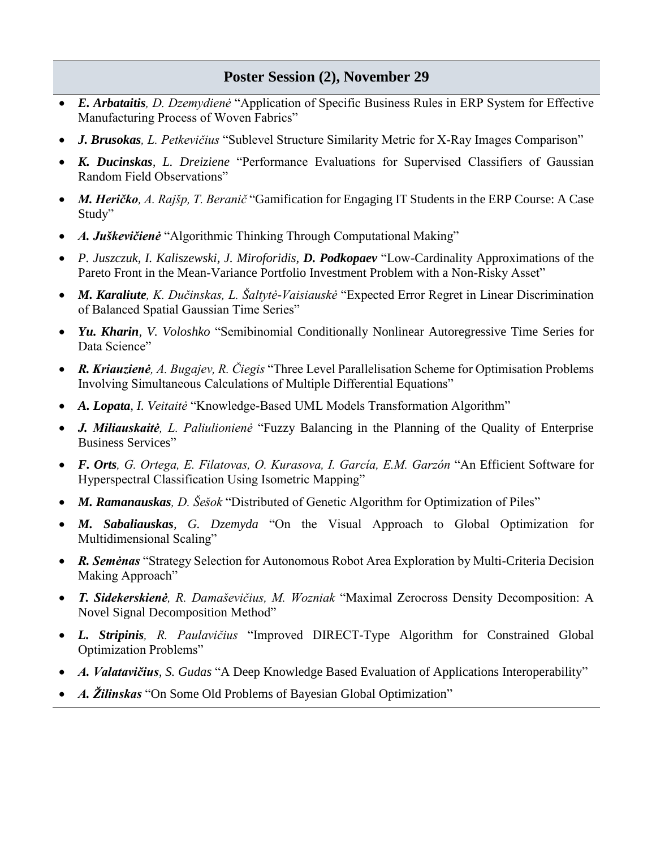#### **Poster Session (2), November 29**

- *E. Arbataitis, D. Dzemydienė* "Application of Specific Business Rules in ERP System for Effective Manufacturing Process of Woven Fabrics"
- *J. Brusokas, L. Petkevičius* "Sublevel Structure Similarity Metric for X-Ray Images Comparison"
- *K. Ducinskas, L. Dreiziene* "Performance Evaluations for Supervised Classifiers of Gaussian Random Field Observations"
- *M. Heričko, A. Rajšp, T. Beranič* "Gamification for Engaging IT Students in the ERP Course: A Case Study"
- *A. Juškevičienė* "Algorithmic Thinking Through Computational Making"
- *P. Juszczuk, I. Kaliszewski, J. Miroforidis, D. Podkopaev* "Low-Cardinality Approximations of the Pareto Front in the Mean-Variance Portfolio Investment Problem with a Non-Risky Asset"
- *M. Karaliute, K. Dučinskas, L. Šaltytė-Vaisiauskė* "Expected Error Regret in Linear Discrimination of Balanced Spatial Gaussian Time Series"
- *Yu. Kharin, V. Voloshko* "Semibinomial Conditionally Nonlinear Autoregressive Time Series for Data Science"
- *R. Kriauzienė, A. Bugajev, R. Čiegis* "Three Level Parallelisation Scheme for Optimisation Problems Involving Simultaneous Calculations of Multiple Differential Equations"
- *A. Lopata, I. Veitaitė* "Knowledge-Based UML Models Transformation Algorithm"
- *J. Miliauskaitė, L. Paliulionienė* "Fuzzy Balancing in the Planning of the Quality of Enterprise Business Services"
- *F. Orts, G. Ortega, E. Filatovas, O. Kurasova, I. García, E.M. Garzón* "An Efficient Software for Hyperspectral Classification Using Isometric Mapping"
- *M. Ramanauskas, D. Šešok* "Distributed of Genetic Algorithm for Optimization of Piles"
- *M. Sabaliauskas, G. Dzemyda* "On the Visual Approach to Global Optimization for Multidimensional Scaling"
- *R. Semėnas* "Strategy Selection for Autonomous Robot Area Exploration by Multi-Criteria Decision Making Approach"
- *T. Sidekerskienė, R. Damaševičius, M. Wozniak* "Maximal Zerocross Density Decomposition: A Novel Signal Decomposition Method"
- *L. Stripinis, R. Paulavičius* "Improved DIRECT-Type Algorithm for Constrained Global Optimization Problems"
- *A. Valatavičius, S. Gudas* "A Deep Knowledge Based Evaluation of Applications Interoperability"
- *A. Žilinskas* "On Some Old Problems of Bayesian Global Optimization"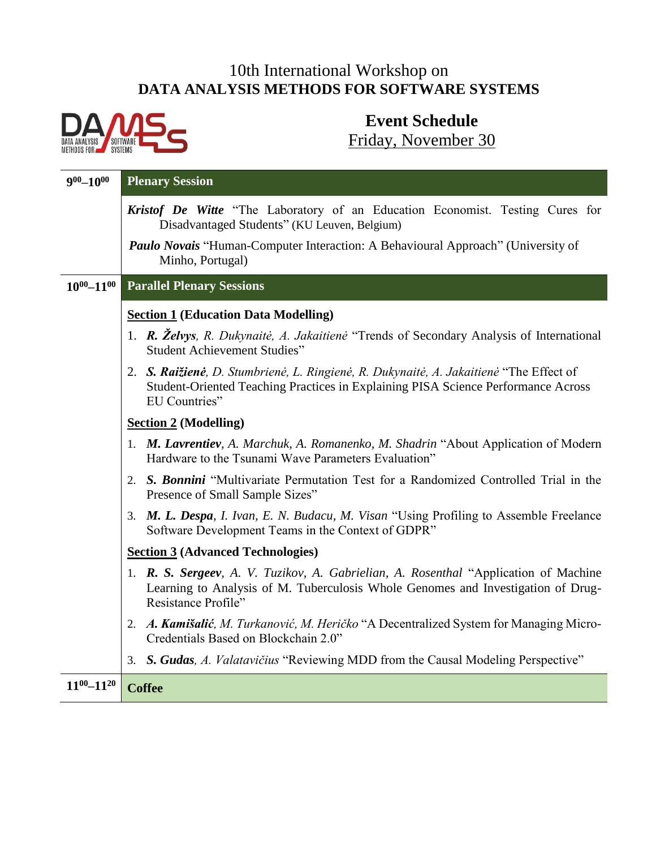## 10th International Workshop on **DATA ANALYSIS METHODS FOR SOFTWARE SYSTEMS**



# **Event Schedule** Friday, November 30

| $900 - 1000$        | <b>Plenary Session</b>                                                                                                                                                                           |
|---------------------|--------------------------------------------------------------------------------------------------------------------------------------------------------------------------------------------------|
|                     | Kristof De Witte "The Laboratory of an Education Economist. Testing Cures for<br>Disadvantaged Students" (KU Leuven, Belgium)                                                                    |
|                     | <b>Paulo Novais "Human-Computer Interaction: A Behavioural Approach" (University of</b><br>Minho, Portugal)                                                                                      |
| $10^{00} - 11^{00}$ | <b>Parallel Plenary Sessions</b>                                                                                                                                                                 |
|                     | <b>Section 1 (Education Data Modelling)</b>                                                                                                                                                      |
|                     | 1. R. Želvys, R. Dukynaitė, A. Jakaitienė "Trends of Secondary Analysis of International<br><b>Student Achievement Studies"</b>                                                                  |
|                     | 2. S. Raižienė, D. Stumbrienė, L. Ringienė, R. Dukynaitė, A. Jakaitienė "The Effect of<br>Student-Oriented Teaching Practices in Explaining PISA Science Performance Across<br>EU Countries"     |
|                     | <b>Section 2 (Modelling)</b>                                                                                                                                                                     |
|                     | 1. M. Lavrentiev, A. Marchuk, A. Romanenko, M. Shadrin "About Application of Modern"<br>Hardware to the Tsunami Wave Parameters Evaluation"                                                      |
|                     | 2. S. Bonnini "Multivariate Permutation Test for a Randomized Controlled Trial in the<br>Presence of Small Sample Sizes"                                                                         |
|                     | 3. M. L. Despa, I. Ivan, E. N. Budacu, M. Visan "Using Profiling to Assemble Freelance<br>Software Development Teams in the Context of GDPR"                                                     |
|                     | <b>Section 3 (Advanced Technologies)</b>                                                                                                                                                         |
|                     | 1. R. S. Sergeev, A. V. Tuzikov, A. Gabrielian, A. Rosenthal "Application of Machine"<br>Learning to Analysis of M. Tuberculosis Whole Genomes and Investigation of Drug-<br>Resistance Profile" |
|                     | 2. A. Kamišalić, M. Turkanović, M. Heričko "A Decentralized System for Managing Micro-<br>Credentials Based on Blockchain 2.0"                                                                   |
|                     | 3. S. Gudas, A. Valatavičius "Reviewing MDD from the Causal Modeling Perspective"                                                                                                                |
| $11^{00} - 11^{20}$ | <b>Coffee</b>                                                                                                                                                                                    |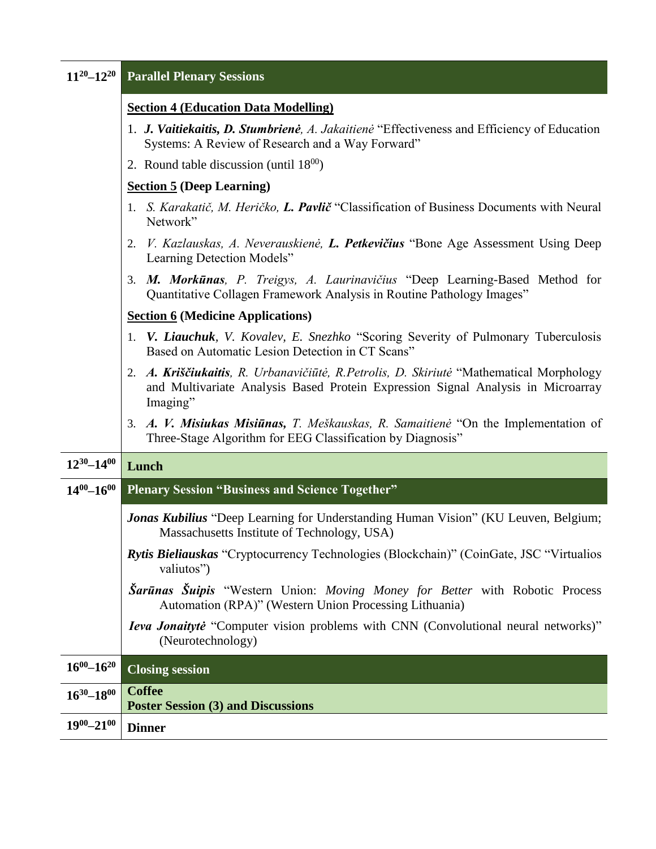| $11^{20} - 12^{20}$ | <b>Parallel Plenary Sessions</b>                                                                                                                                                         |
|---------------------|------------------------------------------------------------------------------------------------------------------------------------------------------------------------------------------|
|                     | <b>Section 4 (Education Data Modelling)</b>                                                                                                                                              |
|                     | 1. J. Vaitiekaitis, D. Stumbrienė, A. Jakaitienė "Effectiveness and Efficiency of Education<br>Systems: A Review of Research and a Way Forward"                                          |
|                     | 2. Round table discussion (until $18^{00}$ )                                                                                                                                             |
|                     | <b>Section 5 (Deep Learning)</b>                                                                                                                                                         |
|                     | 1. S. Karakatič, M. Heričko, <b>L. Pavlič</b> "Classification of Business Documents with Neural<br>Network"                                                                              |
|                     | V. Kazlauskas, A. Neverauskienė, L. Petkevičius "Bone Age Assessment Using Deep<br>2.<br>Learning Detection Models"                                                                      |
|                     | 3. M. Morkūnas, P. Treigys, A. Laurinavičius "Deep Learning-Based Method for<br>Quantitative Collagen Framework Analysis in Routine Pathology Images"                                    |
|                     | <b>Section 6 (Medicine Applications)</b>                                                                                                                                                 |
|                     | 1. V. Liauchuk, V. Kovalev, E. Snezhko "Scoring Severity of Pulmonary Tuberculosis<br>Based on Automatic Lesion Detection in CT Scans"                                                   |
|                     | 2. A. Kriščiukaitis, R. Urbanavičiūtė, R. Petrolis, D. Skiriutė "Mathematical Morphology<br>and Multivariate Analysis Based Protein Expression Signal Analysis in Microarray<br>Imaging" |
|                     | 3. A. V. Misiukas Misiūnas, T. Meškauskas, R. Samaitienė "On the Implementation of<br>Three-Stage Algorithm for EEG Classification by Diagnosis"                                         |
| $12^{30} - 14^{00}$ | Lunch                                                                                                                                                                                    |
| $14^{00} - 16^{00}$ | <b>Plenary Session "Business and Science Together"</b>                                                                                                                                   |
|                     | Jonas Kubilius "Deep Learning for Understanding Human Vision" (KU Leuven, Belgium;<br>Massachusetts Institute of Technology, USA)                                                        |
|                     | Rytis Bieliauskas "Cryptocurrency Technologies (Blockchain)" (CoinGate, JSC "Virtualios<br>valiutos")                                                                                    |
|                     | Šarūnas Šuipis "Western Union: Moving Money for Better with Robotic Process<br>Automation (RPA)" (Western Union Processing Lithuania)                                                    |
|                     | <b>Ieva Jonaitytė</b> "Computer vision problems with CNN (Convolutional neural networks)"<br>(Neurotechnology)                                                                           |
| $16^{00} - 16^{20}$ | <b>Closing session</b>                                                                                                                                                                   |
| $16^{30} - 18^{00}$ | <b>Coffee</b><br><b>Poster Session (3) and Discussions</b>                                                                                                                               |
| $19^{00} - 21^{00}$ | <b>Dinner</b>                                                                                                                                                                            |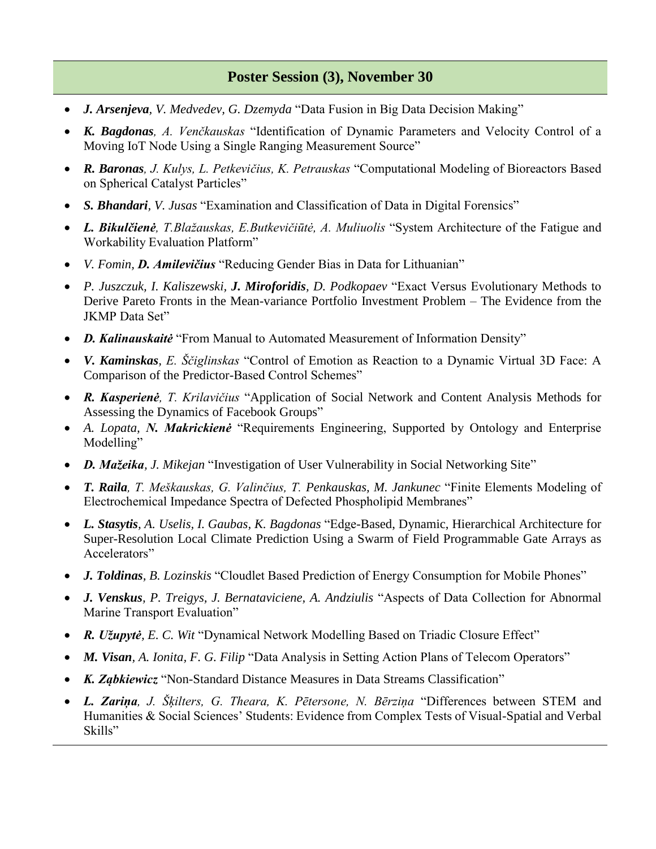#### **Poster Session (3), November 30**

- *J. Arsenjeva, V. Medvedev, G. Dzemyda* "Data Fusion in Big Data Decision Making"
- *K. Bagdonas, A. Venčkauskas* "Identification of Dynamic Parameters and Velocity Control of a Moving IoT Node Using a Single Ranging Measurement Source"
- *R. Baronas, J. Kulys, L. Petkevičius, K. Petrauskas* "Computational Modeling of Bioreactors Based on Spherical Catalyst Particles"
- *S. Bhandari, V. Jusas* "Examination and Classification of Data in Digital Forensics"
- *L. Bikulčienė, T.Blažauskas, E.Butkevičiūtė, A. Muliuolis* "System Architecture of the Fatigue and Workability Evaluation Platform"
- *V. Fomin, D. Amilevičius* "Reducing Gender Bias in Data for Lithuanian"
- *P. Juszczuk, I. Kaliszewski, J. Miroforidis, D. Podkopaev* "Exact Versus Evolutionary Methods to Derive Pareto Fronts in the Mean-variance Portfolio Investment Problem – The Evidence from the JKMP Data Set"
- *D. Kalinauskaitė* "From Manual to Automated Measurement of Information Density"
- *V. Kaminskas, E. Ščiglinskas* "Control of Emotion as Reaction to a Dynamic Virtual 3D Face: A Comparison of the Predictor-Based Control Schemes"
- *R. Kasperienė, T. Krilavičius* "Application of Social Network and Content Analysis Methods for Assessing the Dynamics of Facebook Groups"
- *A. Lopata, N. Makrickienė* "Requirements Engineering, Supported by Ontology and Enterprise Modelling"
- *D. Mažeika, J. Mikejan* "Investigation of User Vulnerability in Social Networking Site"
- *T. Raila, T. Meškauskas, G. Valinčius, T. Penkauskas, M. Jankunec* "Finite Elements Modeling of Electrochemical Impedance Spectra of Defected Phospholipid Membranes"
- *L. Stasytis, A. Uselis, I. Gaubas, K. Bagdonas* "Edge-Based, Dynamic, Hierarchical Architecture for Super-Resolution Local Climate Prediction Using a Swarm of Field Programmable Gate Arrays as Accelerators"
- *J. Toldinas, B. Lozinskis* "Cloudlet Based Prediction of Energy Consumption for Mobile Phones"
- *J. Venskus, P. Treigys, J. Bernataviciene, A. Andziulis* "Aspects of Data Collection for Abnormal Marine Transport Evaluation"
- *R. Užupytė, E. C. Wit* "Dynamical Network Modelling Based on Triadic Closure Effect"
- *M. Visan, A. Ionita, F. G. Filip* "Data Analysis in Setting Action Plans of Telecom Operators"
- *K. Ząbkiewicz* "Non-Standard Distance Measures in Data Streams Classification"
- *L. Zariņa, J. Šķilters, G. Theara, K. Pētersone, N. Bērziņa* "Differences between STEM and Humanities & Social Sciences' Students: Evidence from Complex Tests of Visual-Spatial and Verbal Skills"